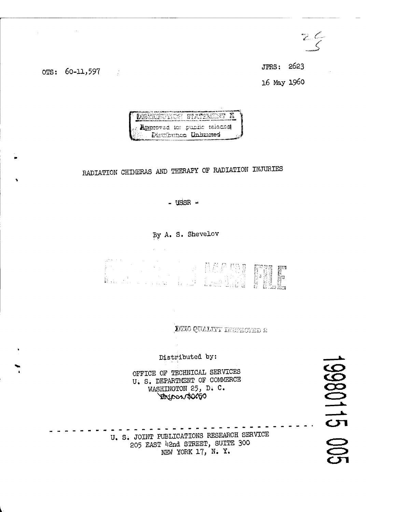$\epsilon \subset$ 

ors: 60-11,597

 $\hat{\zeta}$ 

JPRS: 2623 16 May 1960



## RADIATION CHIMERAS AND THERAPY OF RADIATION INJURIES

- USSR  $-$ 

By A. S. Shevelov



DTIC QUALITY INSPECTED S

Distributed by:

OFFICE OF TECHNICAL SERVICES U. S. DEPARTMENT OF COMMERCE WASHINGTON 25, D. C. Hirinen \$000

U. S. JOINT PUBLICATIONS RESEARCH SERVICE 205 EAST 42nd STREET, SUITE 300 NEW YORK 17, N. Y.

0980115 00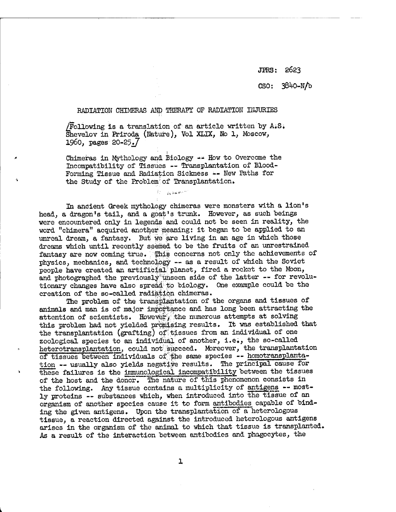JFRS: 2623

CSO: 38^0-N/b

## RADIATION CHIMERAS AND THERAPY OF RADIATION INJURIES

 $/Following$  is a translation of an article written by A.S. Shevelov in Priroda (Nature), Vol XLIX, No 1, Moscow, I960, pager 20-25.7

Chimeras in Mythology and Biology  $\rightarrow \rightarrow$  How to Overcome the Incompatibility of Tissues — Transplantation of Blood-Forming Tissue and Radiation Sickness -- New Paths for the Study of the Problem' of Transplantation.

Police Bachament

In ancient Greek mythology chimeras were monsters with a lion's head, a dragon's tail, and a goat's trunk. However, as such beings were encountered only in legends'and could not be seen in reality, the word "chimera" acquired another meaning: it began to be applied to an unreal dream, a fantasy. But we are living in an age in which those dreams which until recently seemed to be the fruits of an unrestrained fantasy are now coming true. This concerns not only the achievements of physics, mechanics, and technology — as <sup>a</sup> result of which the Soviet people have created an artificial planet, fired a rocket to the Moon, people have created an around phono of the latter -- for revolutionary changes have also spread; to biology. One example could be the creation of the so-called radiation chimeras.

The problem of the transplantation of the organs and tissues of animals and man is of major imppftance and has long been attracting the attention of scientists. However, the numerous attempts at solving this problem had not yielded promising results. It was established that the transplantation (grafting) of'tissues from an individual of one zoological species to an individual of another, i.e., the so-called heterotransplantation, could not succeed. Moreover, the transplantation of tissues between individuals of the same species -- homotransplantation -- usually also yields negative results. The principal cause for these failures is the immunological incompatibility between the tissues of the host and the donor. "The nature of this phenomenon consists in the following. Any tissue contains a multiplicity of antigens -- mostly proteins — substances which, when introduced into the tissue of an organism of another species cause it to form antibodies capable of binding the given antigens. Upon the transplantation of a heterologous tissue, a reaction directed against the introduced heterologous antigens arises in the organism of the animal to which that tissue is transplanted. As a result of the interaction "between antibodies and phagocytes, the

L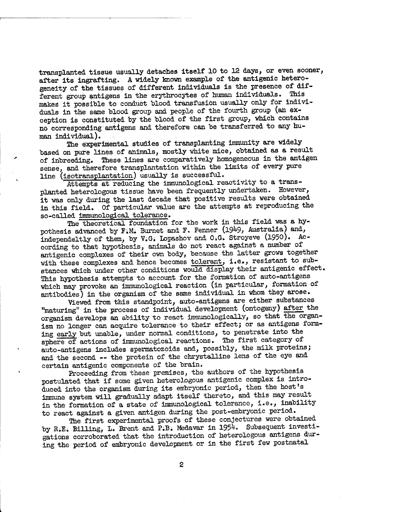transplanted tissue usually detaches itself 10 to 12 days, or even sooner, after its ingrafting. A widely known example of the antigenic heterogeneity of the tissues of different individuals is the presence of dif-<br>forest group entigens in the environments of human individuals. This ferent group antigens in the erythrocytes of human individuals. makes it possible to conduct blood transfusion usually only for individuals in the same blood group and people of the fourth group (ah exception is constituted by the blood of the first group, which contains no corresponding antigens and therefore can be transferred to any human individual).

The experimental studies of transplanting immunity are widely based on pure lines of animals, mostly white mice, obtained as a result of inbreeding. These lines are comparatively homogeneous in the antigen sense, and therefore transplantation within the limits of every pure line (isotransplantation) usually is successful.

Attempts at reducing the immunological reactivity to a transplanted heterologous tissue have been frequently undertaken. However, it was only during the last decade that positive results were obtained in this field. Of particular value are the attempts at reproducing the so-called immunological tolerance.

The theoretical foundation for the work in this field was a hypothesis advanced by  $F:M$ . Burnet and  $F$ . Fenner (1949, Australia) and, independeltly of them, by V.G; Lopashov and 0,G. Stroyeve (1950). According to that hypothesis, animals do not react against a number of antigenic complexes of their own body, because the latter grows together with these complexes and hence becomes tolerant, i.e., resistant to substances which under other conditions would display their antigenic effect. This hypothesis attempts to account for the formation of auto-antigens which may provoke an immunological reaction (in particular, formation of antibodies) in the organism of the same individual in whom they arose.

Viewed from this standpoint, auto-antigens are either substances "maturing" in the process of individual development (ontogeny) after the organism develops an ability to react immunologically, so that the organism no longer can acquire tolerance to their effect; or as antigens forming early but unable, under normal conditions, to penetrate into the sphere of actions of immunological reactions. The first category of auto-antigens includes spermatozoids and, possibly, the milk proteins; and the second -- the protein of the chrystalline lens of the eye and certain antigenic components of the brain.

Proceeding from these premises, the authors of the hypothesis postulated that if some given heterologous antigenic complex is introduced into the organism during its embryonic period, then the host's immune system will gradually adapt itself thereto, and this may result in the formation of a state of immunological tolerance, i.e., inability to react against a given antigen during the post-embryonic period,

The first experimental proofs of these conjectures were obtained by R.E. Billing, L. Brent and P.B. Medavar in 1954. Subsequent investigations corroborated that the introduction of heterologous antigens during the period of embryonic development or in the first few postnatal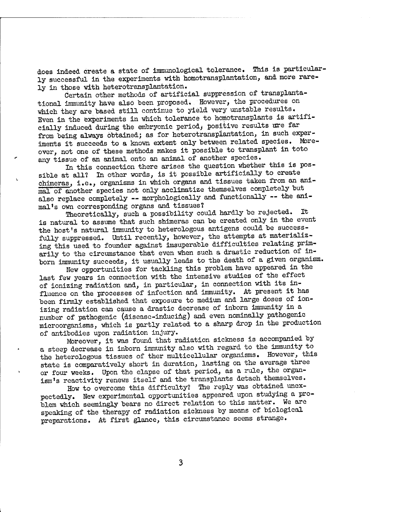does indeed create a state of immunological tolerance. This is particularly successful in the experiments with homotransplantation, and more rarely in those with heterotransplantation.

Certain other methods of artificial suppression of transplantational immunity have also been proposed. However, the procedures on which they are based still continue to yield very unstable results. Even in the experiments in which tolerance to homotransplants is artificially induced during the embryonic period^ positive results are far from being always obtained; as for heterotransplantation, in such experiments it succeeds to a known extent only between related species. Moreover, not one of these methods makes it possible to transplant in toto any tissue of an animal onto an animal of another species.

In this connection there arises the question whether this is possible at all? In other words, is it possible artificially to create chimeras, i.e., organisms in which organs and tissues taken from an animal of another species not only acclimatize themselves completely but also replace completely -- morphologically and functionally -- the animal's own corresponding organs and tissues?

Theoretically, such a possibility could hardly be rejected. It is natural to assume that such shimeras can be created only in the event the host's natural immunity to heterologous antigens could be successfully suppressed. Until recently, however, the attempts at materializing this used to founder against imsuperable difficulties relating primarily to the circumstance that even when such a drastic reduction of inborn immunity succeeds, it usually leads to the death of a given organism.

New opportunities for tackling this problem have appeared in the last few years in connection with the intensive studies of the effect of ionizing radiation and, in particular, in connection with its influence on the processes of infection and immunity. At present it has been firmly established that exposure to medium and large doses of ionizing radiation can cause a drastic decrease of inborn immunity in a number of pathogenic (disease-inducing) and even nominally pathogenic microorganisms, which is partly related to a sharp drop in the production of antibodies upon radiation injury.

Moreover, it was found that radiation sickness is accompanied by a steep decrease in inborn immunity also with regard to the immunity to the heterologous tissues of ther multicellular organisms. However, this state is comparatively short in duration, lasting on the average three or four weeks. Upon the elapse of that period, as a rule, the organism's reactivity renews itself and the transplants detach themselves.

How to overcome this difficulty? The reply was obtained unexpectedly. New experimental opportunities appeared upon studying a problem which seemingly bears no direct relation to this matter. We are speaking of the therapy of radiation sickness by means of biological preparations. At first glance, this circumstance seems strange.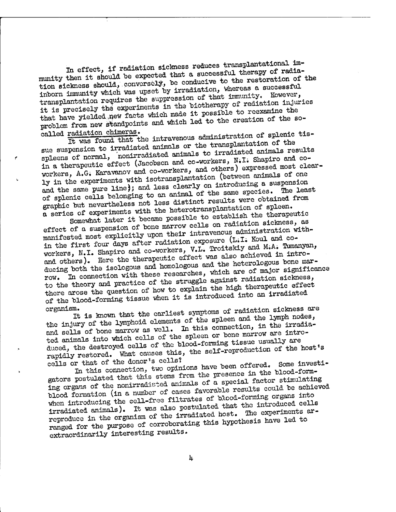In effect, if radiation sickness reduces transplantational immunity then it should be expected that a successful therapy of radiation sickness should, conversely, be conducive to the restoration of the inborn immunity which was upset by irradiation, whereas a successful transplantation requires the suppression of that immunity. However, it is precisely the experiments in the biotherapy of radiation injuries that have yielded new facts which made it possible to reexamine the problem from new standpoints and which led to the creation of the socalled radiation chimeras.

It was found that the intravenous administration of splenic tissue suspension to irradiated animals or the transplantation of the spleens of normal, nonirradiated animals to irradiated animals results in a therapeutic effect (Jacobson and co-workers, N.I. Shapiro and coworkers, A.G. Karavanov and co-workers, and others) expressed most clearly in the experiments with isotransplantation (between animals of one and the same pure line); and less clearly on introducing a suspension of splenic cells belonging to an animal of the same species. The least graphic but nevertheless not less distinct results were obtained from a series of experiments with the heterotransplantation of spleen.

Somewhat later it became possible to establish the therapeutic effect of a suspension of bone marrow cells on radiation sickness, as manifested most explicitly upon their intravenous administration within the first four days after radiation exposure (L.I. Koul and coworkers, N.I. Shapiro and co-workers, V.L. Troitskiy and M.A. Tumanyan, and others). Here the therapeutic effect was also achieved in introducing both the isologous and homologous and the heterologous bone mar-In connection with these researches, which are of major significance to the theory and practice of the struggle against radiation sickness, there arose the question of how to explain the high therapeutic effect of the blood-forming tissue when it is introduced into an irradiated organism.

It is known that the earliest symptoms of radiation sickness are the injury of the lymphoid elements of the spleen and the lymph nodes, and sells of bone marrow as well. In this connection, in the irradiated animals into which cells of the spleen or bone marrow are introduced, the destroyed cells of the blood-forming tissue usually are rapidly restored. What causes this, the self-reproduction of the host's cells or that of the donor's cells?

In this connection, two opinions have been offered. Some investigators postulated that this stems from the presence in the blood-forming organs of the nonirradiated animals of a special factor stimulating blood formation (in a number of cases favorable results could be achieved when introducing the cell-free filtrates of blood-forming organs into irradiated animals). It was also postulated that the introduced cells reproduce in the organism of the irradiated host. The experiments arranged for the purpose of corroborating this hypothesis have led to extraordinarily interesting results.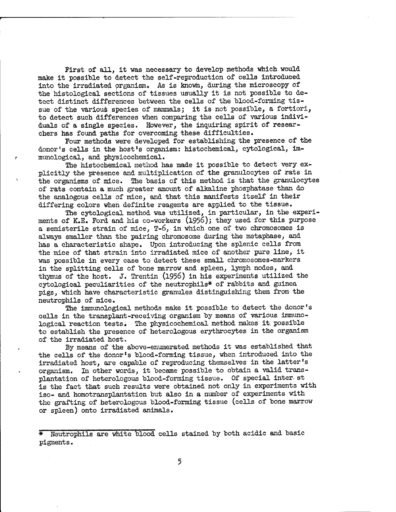First of all, it was necessary to develop methods which would make it possible to detect the self-reproduction of cells introduced into the irradiated organism. As is known, during the microscopy of the histological sections of tissues usually it is not possible to detect distinct differences between the cells of the blood-forming tissue of the various species of mammals; it is not possible, a fortiori, to detect such differences when comparing the cells of various individuals of a single species. However, the inquiring spirit of researchers has found paths for overcoming these difficulties.

Four methods were developed for establishing the presence of the donor's cells in the host's organism: histochemical, cytological, immunological, and physicochemical.

The histochemical method has made it possible to detect very explicitly the presence and multiplication of the granulocytes of rats in the organisms of mice. The basis of this method is that the granulocytes of rats contain a much greater amount of alkaline phosphatase than do the analogous cells of mice, and that this manifests itself in their differing colors when definite reagents are applied to the tissue.

The cytological method was utilized, in particular, in the experiments of K.E. Ford and his co-workers (1956); they used for this purpose a semisterile strain of mice, T-6, in which one of two chromosomes is always smaller than the pairing chromosome during the metaphase, and has a characteristic shape. Upon introducing the splenic cells from the mice of that strain into irradiated mice of another pure line, it was possible in every case to detect these small chromosomes-markers in the splitting cells of bone marrow and spleen, lymph nodes, and thymus of the host. J. Trentin (1956) in his experiments utilized the cytological peculiarities of the neutrophils\* of rabbits and guinea pigs, which have characteristic granules distinguishing them from the neutrophils of mice.

The immunological methods make it possible to detect the donor's cells in the transplant -receiving organism by means of various immunological reaction tests. The physicochemical method makes it. possible to establish the presence of heterologous erythrocytes in the organism of the irradiated host.

By means of the above-enumerated methods it was established that the cells of the donor's blood-forming tissue, when introduced into the irradiated host, are capable of reproducing themselves in the latter's organism. In other words, it became possible to obtain a valid transplantation of heterologous blood-forming tissue. Of special inter- st is the fact that such results were obtained not only in experiments with iso- and homotransplantation but also in a number of experiments with the grafting of heterologous blood-forming tissue (cells of bone marrow or spleen) onto irradiated animals.

<sup>\*</sup> Neutrophils are white blood cells stained by both acidic and basic pigments.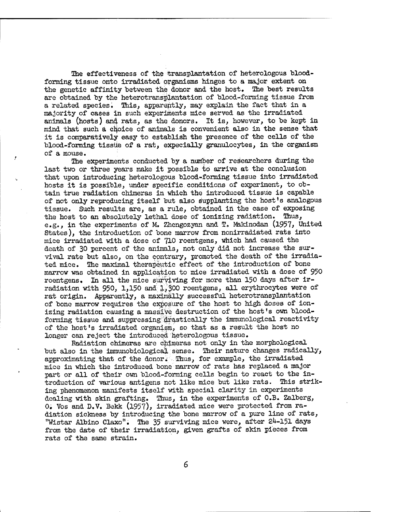The effectiveness of the transplantation of heterologous bloodforming tissue onto irradiated organisms hinges to a major extent on the genetic affinity between the donor and the host. The best results are obtained by the heterotransplantation of blood-forming tissue from a related species. This, apparently, may explain the fact that in a majority of cases in such experiments mice served as the irradiated animals (hosts) and rats, as the donors. It is, however, to be kept in mind that such a choice of animals is convenient also in the sense that it is comparatively easy to establish the presence of the cells of the blood-forming tissue of a rat, expecially granulocytes, in the organism of a mouse.

The experiments conducted by a number of researchers during the last two or three years make it possible io arrive at the conclusion that upon introducing heterologous blood-forming tissue into irradiated hosts it is possible, under specific conditions of experiment, to obtain true radiation chimeras in which the introduced tissue is capable of not only reproducing itself but also supplanting the host's analogous tissue. Such results are, as a rule, obtained in the case of exposing the host to an absolutely lethal dose of ionizing radiation. Thus, e.g., in the experiments of M. Zhengozyan and T. Makinodan (1957, United States), the introduction of bone marrow from nonirradiated rats into mice irradiated with a dose of 710 roentgens, which had caused the death of 30 percent of the animals, not only did not increase the survival rate but also, on the contrary, promoted the death of the irradiated mice. The maximal therapeutic effect of the introduction of bone marrow was obtained in application to mice irradiated with a dose of 950 roentgens. In all the mice surviving for more than 150 days after irradiation with 950, 1,150 and 1,300 roentgens, all erythrocytes were of rat origin. Apparently, a maximally successful heterotransplantation of bone marrow requires the exposure of the host to high doses of ionizing radiation causing a massive destruction of the host's own bloodforming tissue and suppressing drastically the immunological reactivity of the host's irradiated organism, so that as a result the host no longer can reject the introduced heterologous tissue.

Radiation chimeras are chimeras not only in the morphological but also in the immunobiological sense. Their nature changes radically, approximating that of the donor. Thus, for example, the irradiated mice in which the introduced bone marrow of rats has replaced a major part or all of their own blood-forming cells begin to react to the introduction of various antigens not like mice but like rats. This striking phenomenon manifests itself with special clarity in experiments dealing with skin grafting. Thus, in the experiments of O.B. Zalberg, 0. Vos and D.V, Bekk (1957), irradiated mice were protected from radiation sickness by introducing the bone marrow of a pure line of rats, "Wistar Albino Claxo". The 35 surviving mice were, after 24-151 days from the date of their irradiation, given grafts of skin pieces from rats of the same strain.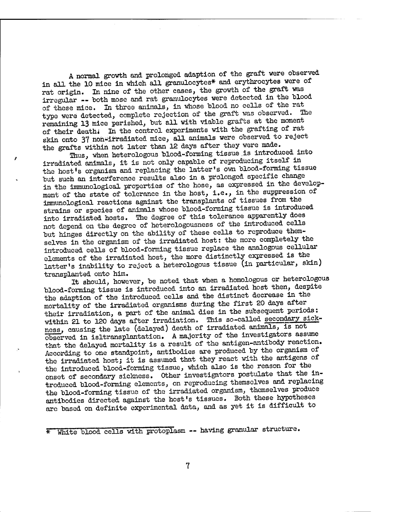A normal growth and prolonged adaption of the graft were observed in all the 10 mice in which all granulocytes\* and erythrocytes were of rat origin. In nine of the other cases, the growth of the graft was irregular — both mose and rat granulocytes were detected in the blood of these mice. In three animals, in whose blood no cells of the rat type were detected, complete rejection of the graft was observed. remaining 13 mice perished, hut all with viable grafts at the moment of their deathi In the control experiments with the grafting of rat skin onto 37 non-irradiated mice, all animals were observed to reject the grafts within not later than 12 days after they were made.

Thus, when heterologous blood-forming tissue is introduced into irradiated animals, it is not only capable of reproducing itself in the host's organism and replacing the latter's own blood-forming tissue but such an interference results also in a prolonged specific change in the immunological properties of the hose, as expressed in the development of the state of tolerance in the host, i.e., in the suppression of immunological reactions against the transplants of tissues from the strains or species of animals whose blood-forming tissue is introduced into irradiated hosts. The degree of this tolerance apparently does not depend on the degree of heterologousness of the introduced cells but hinges directly on the ability of these cells to reproduce themselves in the organism of the irradiated host: the more completely the introduced cells of blood-forming tissue replace the analogous cellular elements of the irradiated host, the more distinctly expressed is the latter's inability to reject a heterologous tissue (in particular, skin) transplanted onto him.

It should, however, be noted that when a homologous or heterologous blood-forming tissue is introduced into an irradiated host then, despite the adaption of the introduced cells and the distinct decrease in the mortality of the irradiated organisms during the first 20 days after their irradiation, a part of the animal dies in the subsequent periods: within 21 to 120 days after irradiation. This so-called secondary sickness, causing the late (delayed) death of Irradiated animals, is not observed in isltransplantation. A majority of the investigators assume that the delayed mortality is a result of the antigen-antibody reaction. According to one standpoint, antibodies are produced by the organism of the irradiated host; it is assumed that they react with the antigens of the introduced blood-forming tissue, which also is the reason for the onset of secondary sickness. Other investigators postulate that the introduced blood-forming elements, on reproducing themselves and replacing the blood-forming tissue of the irradiated organism, themselves produce antibodies directed against the host's tissues. Both these hypotheses are based on definite experimental data, and as yet it is difficult to

\* White blood cells with protoplasm — having granular structure.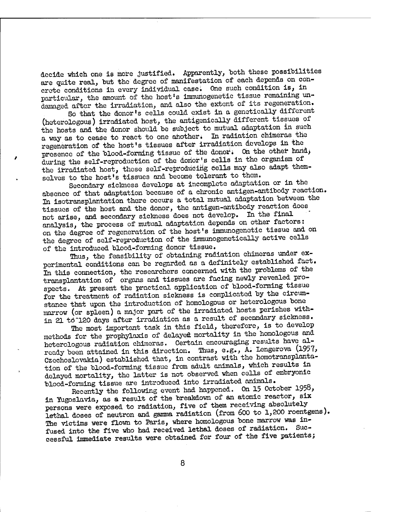decide which one is more justified. Apparently, both these possibilities are quite real, but the degree of manifestation of each depends on concrete conditions in every individual case. One such condition is, in particular, the amount of the host's immuriogenetic tissue remaining undamaged after the irradiation, and also the extent of its regeneration.

So that the donor\*s cells could exist in a genetically different (heterologous) irradiated host, the antigenically different tissues of the hosts and the donor should be subject to mutual adaptation in such a way as to cease to react to one another. In radiation chimeras the regeneration of the host's tissues after irradiation develops in the presence of the blood-forming tissue of the donor. On the other hand, during the self-reproduction of the donor's cells in the Organism of the irradiated host, these self-reproducing cells may also adapt themselves to the host's tissues and become tolerant to them.

Secondary sickness develops at incomplete adaptation or in the absence of that adaptation because of a chronic antigen-antibody reaction. In isotransplantation there occurs a total mutual adaptation between the tissues of the host and the donor, the antigen-antibody reaction does not arise, and secondary sickness does not develop. In the final analysis, the process of mutual adaptation depends on other factors: on the degree of regeneration of the host's immunogenetic tissue and on the degree of self-reproduction of the immunogenetically active cells of the introduced blood-forming donor tissue.

Thus, the feasibility of obtaining radiation chimeras under experimental conditions can be regarded as a definitely established fact. In this connection, the researchers concerned with the problems of the transplantation of organs and tissues are facing newly revealed prospects. At present the practical application of blood-forming tissue for the treatment of radiation sickness is complicated by the circumstance that upon the introduction of homologous or heterologous bone marrow (or spleen) a major part of the irradiated hosts perishes within 21 tö"120 days after irradiation as a result of secondary sickness.

The most important task in this field, therefore, is to develop methods for the prophylaxis of delayed mortality in the homologous and heterologous radiation chimeras. Certain encouraging results have already been attained in this direction. Thus, e.g., A. Lengerova (1957, Czechoslovakia) established that, in contrast with the homotransplantation of the blood-forming tissue from adult animals, which results in delayed mortality, the latter is not observed when cells of embryonic blood-forming tissue are introduced into irradiated animals.

Recently the following event had happened. On 15 October 1958, in Yugoslavia, as a result of the breakdown of an atomic reactor, six persons were exposed to radiation, five of them receiving absolutely lethal doses of neutron and gamma radiation (from 600 to 1,200 roentgens). The victims were flown to Paris, where homologous bone marrow was infused into the five who had received lethal doses of radiation. Successful immediate results were obtained for four of the five patients;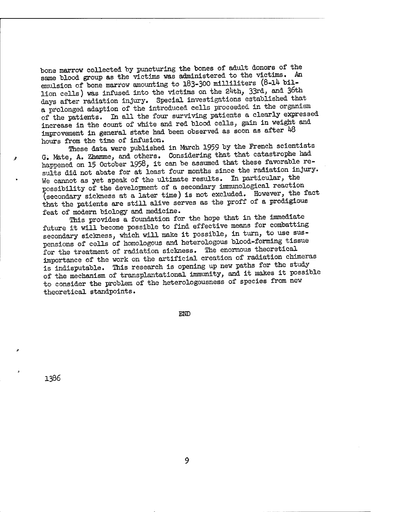bone marrow collected by puncturing the bones of adult donors of the same blood group as the victims was administered to the victims. An emulsion of bone marrow amounting to 183-300 milliliters (8-14 billion cells) was infused into the victims on the 24th, 33rd, and 36th days after radiation injury. Special investigations established that a prolonged adaption of the introduced cells proceeded in the organism of the patients. In all the four surviving patients a clearly expressed increase in the count of white and red blood cells, gain in weight and improvement in general state had been observed as soon as after 48 hours from the time of infusion.

These data were published in March 1959 by the French scientists G. Mate, A. Zhamme, and others. Considering that that catastrophe had happened on 15 October 1958, it can be assumed that these favorable results did not abate for at least four months since the radiation injury. We cannot as yet speak of the ultimate results. In particular, the possibility of the development of a secondary immunological reaction (secondary sickness at a later time) is not excluded. However, the fact that the patients are still alive serves as the proff of a prodigious feat of modern biology and medicine.

This provides a foundation for the hope that in the immediate future it will become possible to find effective means for combatting secondary sickness, which will make it possible, in turn, to use suspensions of cells of homologous and heterologous blood-forming tissue for the treatment of radiation sickness. The enormous theoretical importance of the work on the artificial creation of radiation chimeras is indisputable. This research is opening up new paths for the study of the mechanism of transplantational immunity, and it makes it possible to consider the problem of the heterologousness of species from new theoretical standpoints.

END

1386